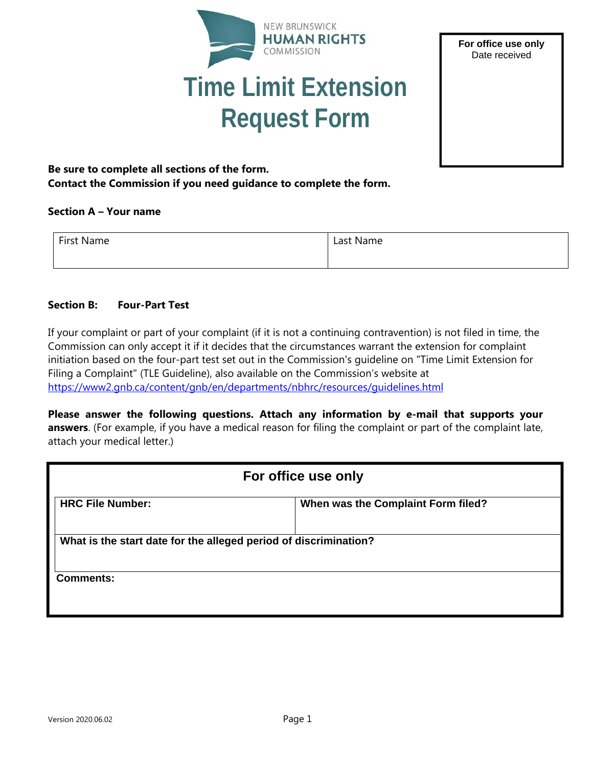



# **Be sure to complete all sections of the form. Contact the Commission if you need guidance to complete the form.**

#### **Section A – Your name**

| First Name | Last Name |
|------------|-----------|
|            |           |

### **Section B: Four-Part Test**

If your complaint or part of your complaint (if it is not a continuing contravention) is not filed in time, the Commission can only accept it if it decides that the circumstances warrant the extension for complaint initiation based on the four-part test set out in the Commission's guideline on "Time Limit Extension for Filing a Complaint" (TLE Guideline), also available on the Commission's website at https://www2.gnb.ca/content/gnb/en/departments/nbhrc/resources/guidelines.html

**Please answer the following questions. Attach any information by e-mail that supports your answers**. (For example, if you have a medical reason for filing the complaint or part of the complaint late, attach your medical letter.)

| For office use only                                              |                                    |  |
|------------------------------------------------------------------|------------------------------------|--|
| <b>HRC File Number:</b>                                          | When was the Complaint Form filed? |  |
| What is the start date for the alleged period of discrimination? |                                    |  |
| <b>Comments:</b>                                                 |                                    |  |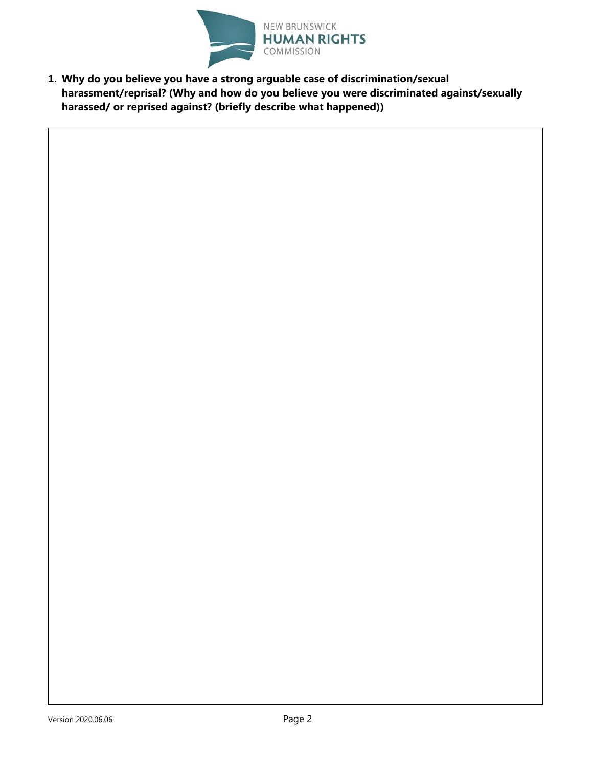

**1. Why do you believe you have a strong arguable case of discrimination/sexual harassment/reprisal? (Why and how do you believe you were discriminated against/sexually harassed/ or reprised against? (briefly describe what happened))**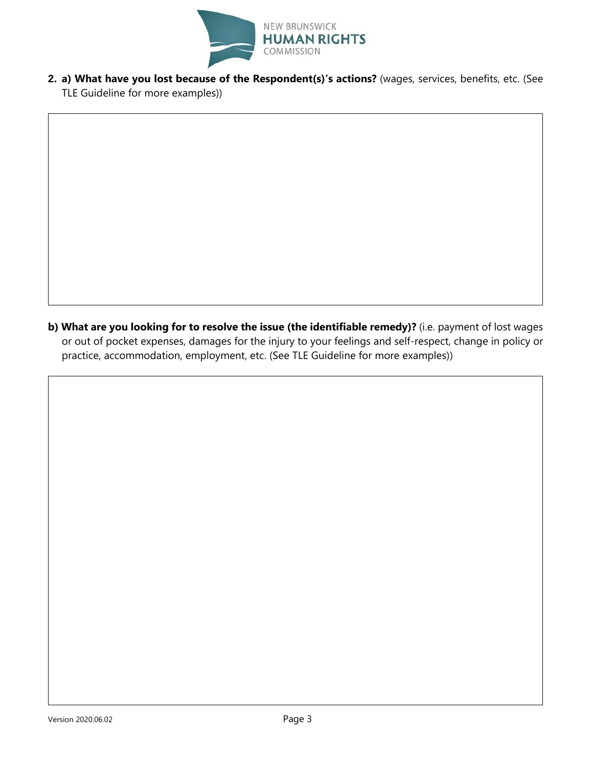

**2. a) What have you lost because of the Respondent(s)'s actions?** (wages, services, benefits, etc. (See TLE Guideline for more examples))

**b) What are you looking for to resolve the issue (the identifiable remedy)?** (i.e. payment of lost wages or out of pocket expenses, damages for the injury to your feelings and self-respect, change in policy or practice, accommodation, employment, etc. (See TLE Guideline for more examples))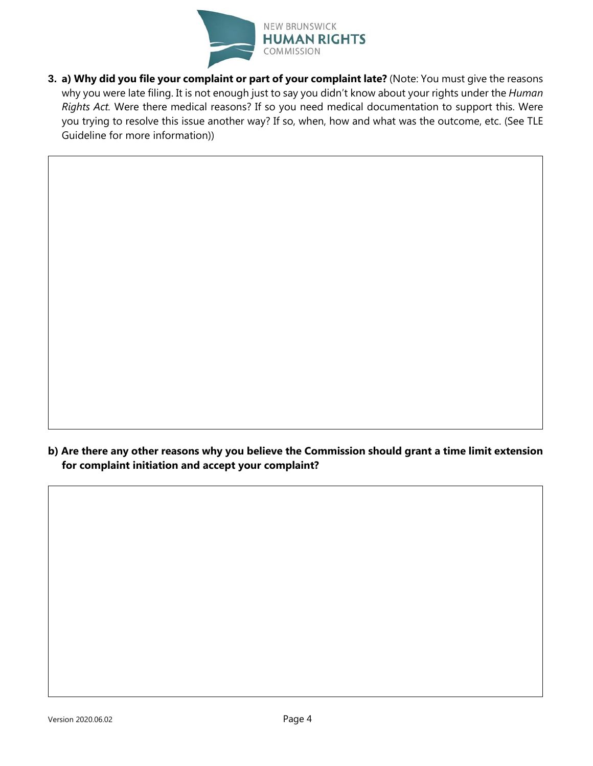

**3. a) Why did you file your complaint or part of your complaint late?** (Note: You must give the reasons why you were late filing. It is not enough just to say you didn't know about your rights under the *Human Rights Act.* Were there medical reasons? If so you need medical documentation to support this. Were you trying to resolve this issue another way? If so, when, how and what was the outcome, etc. (See TLE Guideline for more information))

**b) Are there any other reasons why you believe the Commission should grant a time limit extension for complaint initiation and accept your complaint?**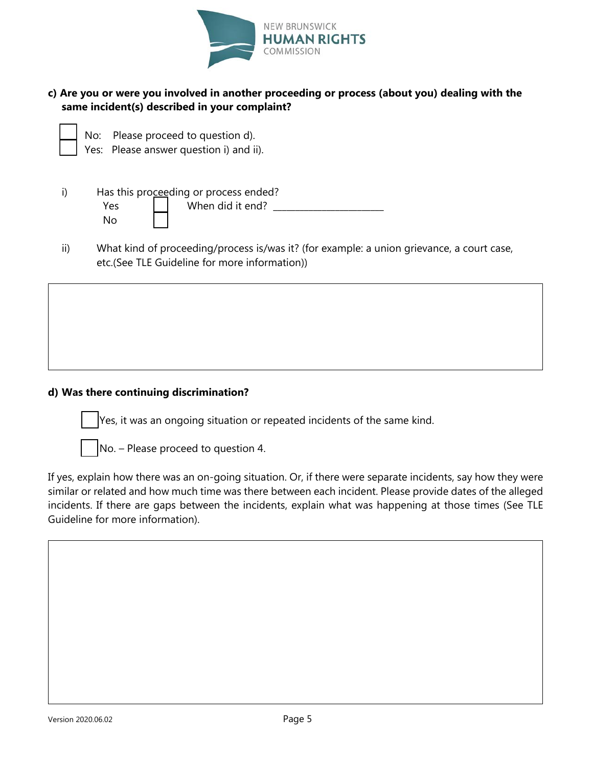

# **c) Are you or were you involved in another proceeding or process (about you) dealing with the same incident(s) described in your complaint?**

No: Please proceed to question d).

Yes: Please answer question i) and ii).

|     | Has this proceeding or process ended? |                  |  |
|-----|---------------------------------------|------------------|--|
| Yes |                                       | When did it end? |  |
| No. |                                       |                  |  |

ii) What kind of proceeding/process is/was it? (for example: a union grievance, a court case, etc.(See TLE Guideline for more information))

### **d) Was there continuing discrimination?**

Yes, it was an ongoing situation or repeated incidents of the same kind.

No. – Please proceed to question 4.

If yes, explain how there was an on-going situation. Or, if there were separate incidents, say how they were similar or related and how much time was there between each incident. Please provide dates of the alleged incidents. If there are gaps between the incidents, explain what was happening at those times (See TLE Guideline for more information).